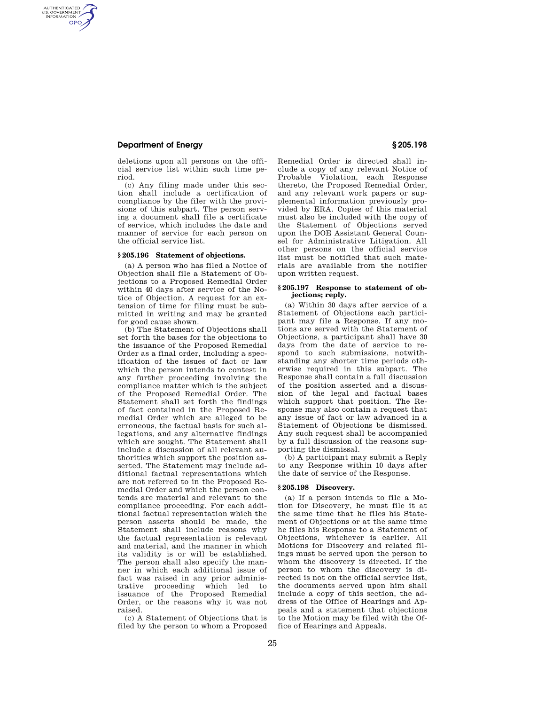# **Department of Energy § 205.198**

AUTHENTICATED<br>U.S. GOVERNMENT<br>INFORMATION **GPO** 

> deletions upon all persons on the official service list within such time period.

(c) Any filing made under this section shall include a certification of compliance by the filer with the provisions of this subpart. The person serving a document shall file a certificate of service, which includes the date and manner of service for each person on the official service list.

### **§ 205.196 Statement of objections.**

(a) A person who has filed a Notice of Objection shall file a Statement of Objections to a Proposed Remedial Order within 40 days after service of the Notice of Objection. A request for an extension of time for filing must be submitted in writing and may be granted for good cause shown.

(b) The Statement of Objections shall set forth the bases for the objections to the issuance of the Proposed Remedial Order as a final order, including a specification of the issues of fact or law which the person intends to contest in any further proceeding involving the compliance matter which is the subject of the Proposed Remedial Order. The Statement shall set forth the findings of fact contained in the Proposed Remedial Order which are alleged to be erroneous, the factual basis for such allegations, and any alternative findings which are sought. The Statement shall include a discussion of all relevant authorities which support the position asserted. The Statement may include additional factual representations which are not referred to in the Proposed Remedial Order and which the person contends are material and relevant to the compliance proceeding. For each additional factual representation which the person asserts should be made, the Statement shall include reasons why the factual representation is relevant and material, and the manner in which its validity is or will be established. The person shall also specify the manner in which each additional issue of fact was raised in any prior administrative proceeding which led to issuance of the Proposed Remedial Order, or the reasons why it was not raised.

(c) A Statement of Objections that is filed by the person to whom a Proposed Remedial Order is directed shall include a copy of any relevant Notice of Probable Violation, each Response thereto, the Proposed Remedial Order, and any relevant work papers or supplemental information previously provided by ERA. Copies of this material must also be included with the copy of the Statement of Objections served upon the DOE Assistant General Counsel for Administrative Litigation. All other persons on the official service list must be notified that such materials are available from the notifier upon written request.

## **§ 205.197 Response to statement of objections; reply.**

(a) Within 30 days after service of a Statement of Objections each participant may file a Response. If any motions are served with the Statement of Objections, a participant shall have 30 days from the date of service to respond to such submissions, notwithstanding any shorter time periods otherwise required in this subpart. The Response shall contain a full discussion of the position asserted and a discussion of the legal and factual bases which support that position. The Response may also contain a request that any issue of fact or law advanced in a Statement of Objections be dismissed. Any such request shall be accompanied by a full discussion of the reasons supporting the dismissal.

(b) A participant may submit a Reply to any Response within 10 days after the date of service of the Response.

## **§ 205.198 Discovery.**

(a) If a person intends to file a Motion for Discovery, he must file it at the same time that he files his Statement of Objections or at the same time he files his Response to a Statement of Objections, whichever is earlier. All Motions for Discovery and related filings must be served upon the person to whom the discovery is directed. If the person to whom the discovery is directed is not on the official service list, the documents served upon him shall include a copy of this section, the address of the Office of Hearings and Appeals and a statement that objections to the Motion may be filed with the Office of Hearings and Appeals.